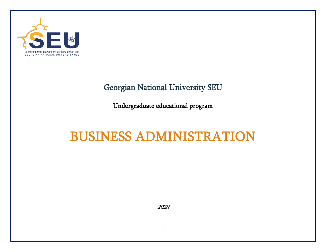

# Georgian National University SEU

Undergraduate educational program

# BUSINESS ADMINISTRATION

2020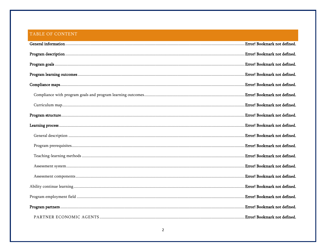# TABLE OF CONTENT

| Error! Bookmark not defined.   |
|--------------------------------|
| . Error! Bookmark not defined. |
| . Error! Bookmark not defined. |
| . Error! Bookmark not defined. |
| . Error! Bookmark not defined. |
| Error! Bookmark not defined.   |
| Error! Bookmark not defined.   |
| Error! Bookmark not defined.   |
| . Error! Bookmark not defined. |
| . Error! Bookmark not defined. |
| . Error! Bookmark not defined. |
| . Error! Bookmark not defined. |
| Error! Bookmark not defined.   |
| . Error! Bookmark not defined. |
| . Error! Bookmark not defined. |
| Error! Bookmark not defined.   |
| Error! Bookmark not defined.   |
|                                |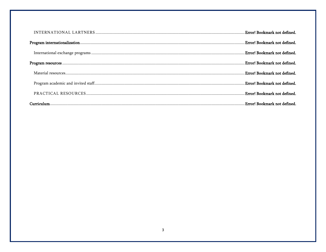| . Error! Bookmark not defined. |
|--------------------------------|
|                                |
|                                |
|                                |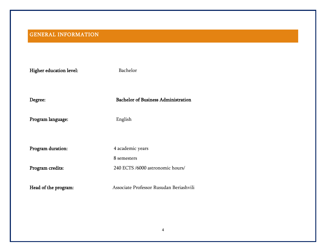# GENERAL INFORMATION

Higher education level: Bachelor Degree: Bachelor of Business Administration Program language: English Program duration: 4 academic years 8 semesters Program credits: 240 ECTS /6000 astronomic hours/ Head of the program: Associate Professor Rusudan Beriashvili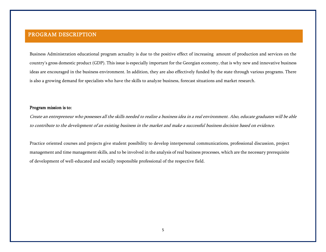# PROGRAM DESCRIPTION

Business Administration educational program actuality is due to the positive effect of increasing amount of production and services on the country's gross domestic product (GDP). This issue is especially important for the Georgian economy, that is why new and innovative business ideas are encouraged in the business environment. In addition, they are also effectively funded by the state through various programs. There is also a growing demand for specialists who have the skills to analyze business, forecast situations and market research.

#### Program mission is to:

Create an entrepreneur who possesses all the skills needed to realize a business idea in a real environment. Also, educate graduates will be able to contribute to the development of an existing business in the market and make a successful business decision based on evidence.

Practice oriented courses and projects give student possibility to develop interpersonal communications, professional discussion, project management and time management skills, and to be involved in the analysis of real business processes, which are the necessary prerequisite of development of well-educated and socially responsible professional of the respective field.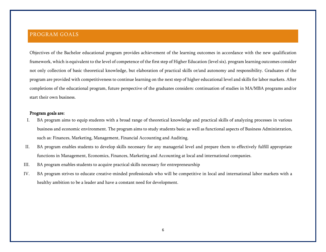# PROGRAM GOALS

Objectives of the Bachelor educational program provides achievement of the learning outcomes in accordance with the new qualification framework, which is equivalent to the level of competence of the first step of Higher Education (level six). program learning outcomes consider not only collection of basic theoretical knowledge, but elaboration of practical skills or/and autonomy and responsibility. Graduates of the program are provided with competitiveness to continue learning on the next step of higher educational level and skills for labor markets. After completions of the educational program, future perspective of the graduates considers: continuation of studies in MA/MBA programs and/or start their own business.

#### Program goals are:

- I. BA program aims to equip students with a broad range of theoretical knowledge and practical skills of analyzing processes in various business and economic environment. The program aims to study students basic as well as functional aspects of Business Administration, such as: Finances, Marketing, Management, Financial Accounting and Auditing.
- II. BA program enables students to develop skills necessary for any managerial level and prepare them to effectively fulfill appropriate functions in Management, Economics, Finances, Marketing and Accounting at local and international companies.
- III. BA program enables students to acquire practical skills necessary for entrepreneurship
- IV. BA program strives to educate creative-minded professionals who will be competitive in local and international labor markets with a healthy ambition to be a leader and have a constant need for development.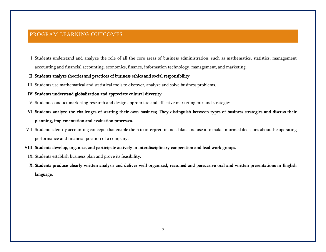# PROGRAM LEARNING OUTCOMES

I. Students understand and analyze the role of all the core areas of business administration, such as mathematics, statistics, management accounting and financial accounting, economics, finance, information technology, management, and marketing.

#### II. Students analyze theories and practices of business ethics and social responsibility.

III. Students use mathematical and statistical tools to discover, analyze and solve business problems.

#### IV. Students understand globalization and appreciate cultural diversity.

- V. Students conduct marketing research and design appropriate and effective marketing mix and strategies.
- VI. Students analyze the challenges of starting their own business; They distinguish between types of business strategies and discuss their planning, implementation and evaluation processes.
- VII. Students identify accounting concepts that enable them to interpret financial data and use it to make informed decisions about the operating performance and financial position of a company.
- VIII. Students develop, organize, and participate actively in interdisciplinary cooperation and lead work groups.
	- IX. Students establish business plan and prove its feasibility.
	- X. Students produce clearly written analysis and deliver well organized, reasoned and persuasive oral and written presentations in English language.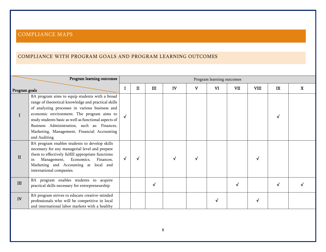# COMPLIANCE MAPS

# COMPLIANCE WITH PROGRAM GOALS AND PROGRAM LEARNING OUTCOMES

|               | Program learning outcomes                                                                                                                                                                                                                                                                                                                                                   |            |   |   |    |   | Program learning outcomes |     |             |    |             |
|---------------|-----------------------------------------------------------------------------------------------------------------------------------------------------------------------------------------------------------------------------------------------------------------------------------------------------------------------------------------------------------------------------|------------|---|---|----|---|---------------------------|-----|-------------|----|-------------|
| Program goals |                                                                                                                                                                                                                                                                                                                                                                             |            | п | Ш | IV | v | VI                        | VII | <b>VIII</b> | IX | $\mathbf X$ |
|               | BA program aims to equip students with a broad<br>range of theoretical knowledge and practical skills<br>of analyzing processes in various business and<br>economic environment. The program aims to<br>study students basic as well as functional aspects of<br>Business Administration, such as: Finances,<br>Marketing, Management, Financial Accounting<br>and Auditing |            |   |   |    |   |                           |     |             |    |             |
| $\mathbf{I}$  | BA program enables students to develop skills<br>necessary for any managerial level and prepare<br>them to effectively fulfill appropriate functions<br>Management, Economics, Finances,<br>in<br>Marketing and Accounting at local and<br>international companies.                                                                                                         | $\sqrt{ }$ |   |   |    |   |                           |     |             |    |             |
| III           | BA program enables students to acquire<br>practical skills necessary for entrepreneurship                                                                                                                                                                                                                                                                                   |            |   | √ |    |   |                           |     |             |    |             |
| IV            | BA program strives to educate creative-minded<br>professionals who will be competitive in local<br>and international labor markets with a healthy                                                                                                                                                                                                                           |            |   |   |    |   |                           |     |             |    |             |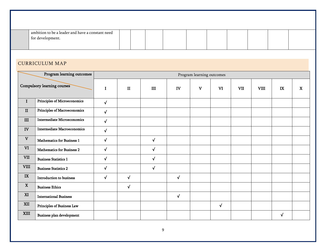| ambition to be a leader and have a constant need<br>for development. |  |  |  |  |  |
|----------------------------------------------------------------------|--|--|--|--|--|

# CURRICULUM MAP

|                   | Program learning outcomes          |             |            |            |            | Program learning outcomes |            |     |             |            |             |
|-------------------|------------------------------------|-------------|------------|------------|------------|---------------------------|------------|-----|-------------|------------|-------------|
|                   | Compulsory learning courses        | $\mathbf I$ | $\rm II$   | $\rm III$  | IV         | $\mathbf{V}$              | VI         | VII | <b>VIII</b> | IX         | $\mathbf X$ |
| $\bf I$           | Principles of Microeconomics       | $\sqrt{ }$  |            |            |            |                           |            |     |             |            |             |
| $\rm II$          | Principles of Macroeconomics       | $\sqrt{ }$  |            |            |            |                           |            |     |             |            |             |
| $\rm III$         | <b>Intermediate Microeconomics</b> | $\sqrt{ }$  |            |            |            |                           |            |     |             |            |             |
| ${\bf IV}$        | <b>Intermediate Macroeconomics</b> | $\sqrt{ }$  |            |            |            |                           |            |     |             |            |             |
| $\mathbf{V}$      | Mathematics for Business 1         | $\sqrt{}$   |            | $\sqrt{ }$ |            |                           |            |     |             |            |             |
| VI                | <b>Mathematics for Business 2</b>  | $\sqrt{ }$  |            | $\sqrt{ }$ |            |                           |            |     |             |            |             |
| $\rm{VII}$        | <b>Business Statistics 1</b>       | $\sqrt{ }$  |            | $\sqrt{ }$ |            |                           |            |     |             |            |             |
| <b>VIII</b>       | <b>Business Statistics 2</b>       | $\sqrt{ }$  |            | $\sqrt{}$  |            |                           |            |     |             |            |             |
| ${\bf I} {\bf X}$ | Introduction to business           | $\sqrt{}$   | $\sqrt{}$  |            | $\sqrt{ }$ |                           |            |     |             |            |             |
| $\mathbf X$       | <b>Business Ethics</b>             |             | $\sqrt{ }$ |            |            |                           |            |     |             |            |             |
| XI                | <b>International Business</b>      |             |            |            | $\sqrt{ }$ |                           |            |     |             |            |             |
| $\bold{XII}$      | Principles of Business Law         |             |            |            |            |                           | $\sqrt{ }$ |     |             |            |             |
| XIII              | Business plan development          |             |            |            |            |                           |            |     |             | $\sqrt{ }$ |             |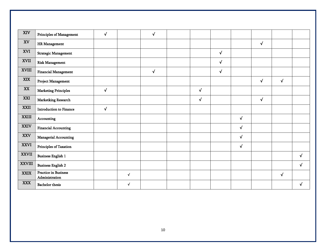| $\boldsymbol{\mathrm{XIV}}$ | <b>Principles of Management</b>               | $\sqrt{}$    |           | $\sqrt{ }$ |            |            |            |            |            |            |
|-----------------------------|-----------------------------------------------|--------------|-----------|------------|------------|------------|------------|------------|------------|------------|
| XV                          | <b>HR</b> Management                          |              |           |            |            |            |            | $\sqrt{ }$ |            |            |
| XVI                         | <b>Strategic Management</b>                   |              |           |            |            | $\sqrt{ }$ |            |            |            |            |
| <b>XVII</b>                 | <b>Risk Management</b>                        |              |           |            |            | $\sqrt{ }$ |            |            |            |            |
| <b>XVIII</b>                | <b>Financial Management</b>                   |              |           | $\sqrt{ }$ |            | $\sqrt{ }$ |            |            |            |            |
| <b>XIX</b>                  | <b>Project Management</b>                     |              |           |            |            |            |            | $\sqrt{ }$ | $\sqrt{ }$ |            |
| <b>XX</b>                   | <b>Marketing Principles</b>                   | $\sqrt{ }$   |           |            | $\sqrt{ }$ |            |            |            |            |            |
| <b>XXI</b>                  | Marketking Research                           |              |           |            | $\sqrt{ }$ |            |            | $\sqrt{ }$ |            |            |
| <b>XXII</b>                 | <b>Introduction to Finance</b>                | $\checkmark$ |           |            |            |            |            |            |            |            |
| <b>XXIII</b>                | Accounting                                    |              |           |            |            |            | $\sqrt{ }$ |            |            |            |
| <b>XXIV</b>                 | <b>Financial Accounting</b>                   |              |           |            |            |            | $\sqrt{ }$ |            |            |            |
| <b>XXV</b>                  | <b>Managerial Accounting</b>                  |              |           |            |            |            | $\sqrt{}$  |            |            |            |
| <b>XXVI</b>                 | Principles of Taxation                        |              |           |            |            |            | $\sqrt{ }$ |            |            |            |
| <b>XXVII</b>                | <b>Business English 1</b>                     |              |           |            |            |            |            |            |            | √          |
| <b>XXVIII</b>               | <b>Business English 2</b>                     |              |           |            |            |            |            |            |            | $\sqrt{ }$ |
| <b>XXIX</b>                 | <b>Practice in Business</b><br>Administration |              | $\sqrt{}$ |            |            |            |            |            | $\sqrt{ }$ |            |
| <b>XXX</b>                  | <b>Bachelor</b> thesis                        |              | √         |            |            |            |            |            |            | v          |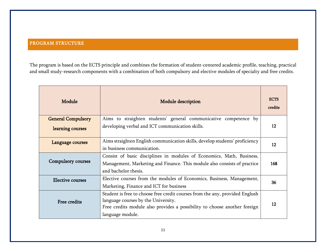# PROGRAM STRUCTURE

The program is based on the ECTS principle and combines the formation of student-centered academic profile, teaching, practical and small study-research components with a combination of both compulsory and elective modules of specialty and free credits.

| Module                    | <b>Module description</b>                                                    | <b>ECTS</b><br>credits |
|---------------------------|------------------------------------------------------------------------------|------------------------|
| <b>General Compulsory</b> | Aims to straighten students' general communicative competence by             |                        |
| learning courses          | developing verbal and ICT communication skills.                              | 12                     |
| Language courses          | Aims straighten English communication skills, develop students' proficiency  | 12                     |
|                           | in business communication.                                                   |                        |
|                           | Consist of basic disciplines in modules of Economics, Math, Business,        |                        |
| Compulsory courses        | Management, Marketing and Finance. This module also consists of practice     | 168                    |
|                           | and bachelor thesis.                                                         |                        |
| <b>Elective courses</b>   | Elective courses from the modules of Economics, Business, Management,        | 36                     |
|                           | Marketing, Finance and ICT for business                                      |                        |
|                           | Student is free to choose free credit courses from the any, provided Englush |                        |
| Free credits              | language courses by the University.                                          | 12                     |
|                           | Free credits module also provides a possibility to choose another foreign    |                        |
|                           | language module.                                                             |                        |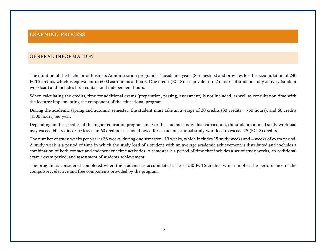# LEARNING PROCESS

#### GENERAL INFORMATION

The duration of the Bachelor of Business Administration program is 4 academic years (8 semesters) and provides for the accumulation of 240 ECTS credits, which is equivalent to 6000 astronomical hours. One credit (ECTS) is equivalent to 25 hours of student study activity (student workload) and includes both contact and independent hours.

When calculating the credits, time for additional exams (preparation, passing, assessment) is not included, as well as consultation time with the lecturer implementing the component of the educational program.

During the academic (spring and autumn) semester, the student must take an average of 30 credits (30 credits = 750 hours), and 60 credits (1500 hours) per year.

Depending on the specifics of the higher education program and / or the student's individual curriculum, the student's annual study workload may exceed 60 credits or be less than 60 credits. It is not allowed for a student's annual study workload to exceed 75 (ECTS) credits.

The number of study weeks per year is 38 weeks, during one semester - 19 weeks, which includes 15 study weeks and 4 weeks of exam period. A study week is a period of time in which the study load of a student with an average academic achievement is distributed and includes a combination of both contact and independent time activities. A semester is a period of time that includes a set of study weeks, an additional exam / exam period, and assessment of students achievement.

The program is considered completed when the student has accumulated at least 240 ECTS credits, which implies the performance of the compulsory, elective and free components provided by the program.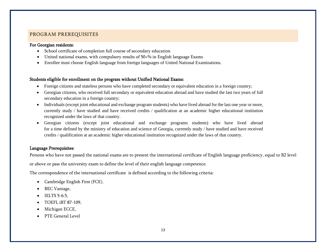#### PROGRAM PREREQUISITES

#### For Georgian residents:

- School certificate of completion full course of secondary education
- United national exams, with compulsory results of 50+% in English language Exams
- Enrollee must choose English language from foreign languages of United National Examinations.

#### Students eligible for enrollment on the program without Unified National Exams:

- Foreign citizens and stateless persons who have completed secondary or equivalent education in a foreign country;
- Georgian citizens, who received full secondary or equivalent education abroad and have studied the last two years of full secondary education in a foreign country;
- Individuals (except joint educational and exchange program students) who have lived abroad for the last one year or more, currently study / have studied and have received credits / qualification at an academic higher educational institution recognized under the laws of that country.
- Georgian citizens (except joint educational and exchange programs students) who have lived abroad for a time defined by the ministry of education and science of Georgia, currently study / have studied and have received credits / qualification at an academic higher educational institution recognized under the laws of that country.

#### Language Prerequisites:

Persons who have not passed the national exams are to present the international certificate of English language proficiency, equal to B2 level

or above or pass the university exam to define the level of their english language competence.

The correspondence of the international certificate is defined according to the following criteria:

- Cambridge English First (FCE),
- BEC Vantage,
- IELTS 5-6.5,
- TOEFL iBT 87-109,
- Michigan ECCE,
- PTE General Level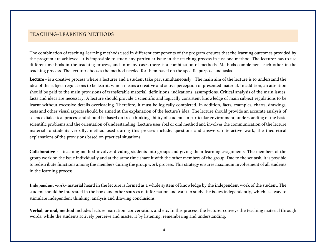#### TEACHING-LEARNING METHODS

The combination of teaching-learning methods used in different components of the program ensures that the learning outcomes provided by the program are achieved. It is impossible to study any particular issue in the teaching process in just one method. The lecturer has to use different methods in the teaching process, and in many cases there is a combination of methods. Methods complement each other in the teaching process. The lecturer chooses the method needed for them based on the specific purpose and tasks.

Lecture - is a creative process where a lecturer and a student take part simultaneously. The main aim of the lecture is to understand the idea of the subject regulations to be learnt, which means a creative and active perception of presented material. In addition, an attention should be paid to the main provisions of transferable material, definitions, indications, assumptions. Critical analysis of the main issues, facts and ideas are necessary. A lecture should provide a scientific and logically consistent knowledge of main subject regulations to be learnt without excessive details overloading. Therefore, it must be logically completed. In addition, facts, examples, charts, drawings, tests and other visual aspects should be aimed at the explanation of the lecture's idea. The lecture should provide an accurate analysis of science dialectical process and should be based on free-thinking ability of students in particular environment, understanding of the basic scientific problems and the orientation of understanding. Lecture uses rbal or oral method and involves the communication of the lecture material to students verbally, method used during this process include: questions and answers, interactive work, the theoretical explanations of the provisions based on practical situations.

Collaborative - teaching method involves dividing students into groups and giving them learning assignments. The members of the group work on the issue individually and at the same time share it with the other members of the group. Due to the set task, it is possible to redistribute functions among the members during the group work process. This strategy ensures maximum involvement of all students in the learning process.

Independent work- material heard in the lecture is formed as a whole system of knowledge by the independent work of the student. The student should be interested in the book and other sources of information and want to study the issues independently, which is a way to stimulate independent thinking, analysis and drawing conclusions.

Verbal, or oral, method includes lecture, narration, conversation, and etc. In this process, the lecturer conveys the teaching material through words, while the students actively perceive and master it by listening, remembering and understanding.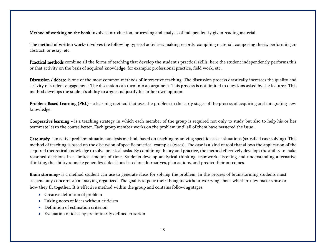Method of working on the book involves introduction, processing and analysis of independently given reading material.

The method of written work- involves the following types of activities: making records, compiling material, composing thesis, performing an abstract, or essay, etc.

Practical methods combine all the forms of teaching that develop the student's practical skills, here the student independently performs this or that activity on the basis of acquired knowledge, for example: professional practice, field work, etc.

Discussion / debate is one of the most common methods of interactive teaching. The discussion process drastically increases the quality and activity of student engagement. The discussion can turn into an argument. This process is not limited to questions asked by the lecturer. This method develops the student's ability to argue and justify his or her own opinion.

Problem-Based Learning (PBL) - a learning method that uses the problem in the early stages of the process of acquiring and integrating new knowledge.

Cooperative learning - is a teaching strategy in which each member of the group is required not only to study but also to help his or her teammate learn the course better. Each group member works on the problem until all of them have mastered the issue.

Case study -an active problem-situation analysis method, based on teaching by solving specific tasks - situations (so-called case solving). This method of teaching is based on the discussion of specific practical examples (cases). The case is a kind of tool that allows the application of the acquired theoretical knowledge to solve practical tasks. By combining theory and practice, the method effectively develops the ability to make reasoned decisions in a limited amount of time. Students develop analytical thinking, teamwork, listening and understanding alternative thinking, the ability to make generalized decisions based on alternatives, plan actions, and predict their outcomes.

Brain storming- is a method student can use to generate ideas for solving the problem. In the process of brainstorming students must suspend any concerns about staying organized. The goal is to pour their thoughts without worrying about whether they make sense or how they fit together. It is effective method within the group and contains following stages:

- Creative definition of problem
- Taking notes of ideas without criticism
- Definition of estimation criterion
- Evaluation of ideas by preliminarily defined criterion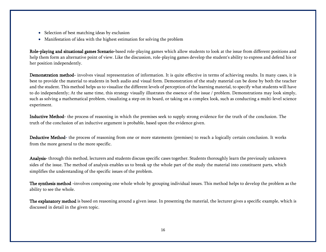- Selection of best matching ideas by exclusion
- Manifestation of idea with the highest estimation for solving the problem

Role-playing and situational games Scenario-based role-playing games which allow students to look at the issue from different positions and help them form an alternative point of view. Like the discussion, role-playing games develop the student's ability to express and defend his or her position independently.

Demonstration method- involves visual representation of information. It is quite effective in terms of achieving results. In many cases, it is best to provide the material to students in both audio and visual form. Demonstration of the study material can be done by both the teacher and the student. This method helps us to visualize the different levels of perception of the learning material, to specify what students will have to do independently; At the same time, this strategy visually illustrates the essence of the issue / problem. Demonstrations may look simply, such as solving a mathematical problem, visualizing a step on its board, or taking on a complex look, such as conducting a multi-level science experiment.

Inductive Method- the process of reasoning in which the premises seek to supply strong evidence for the truth of the conclusion. The truth of the conclusion of an inductive argument is probable, based upon the evidence given.

Deductive Method- the process of reasoning from one or more statements (premises) to reach a logically certain conclusion. It works from the more general to the more specific.

Analysis- through this method, lecturers and students discuss specific cases together. Students thoroughly learn the previously unknown sides of the issue. The method of analysis enables us to break up the whole part of the study the material into constituent parts, which simplifies the understanding of the specific issues of the problem.

The synthesis method -involves composing one whole whole by grouping individual issues. This method helps to develop the problem as the ability to see the whole.

The explanatory method is based on reasoning around a given issue. In presenting the material, the lecturer gives a specific example, which is discussed in detail in the given topic.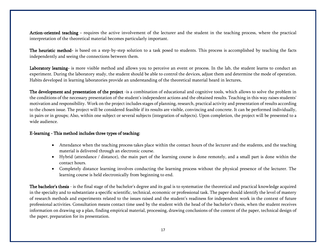Action-oriented teaching - requires the active involvement of the lecturer and the student in the teaching process, where the practical interpretation of the theoretical material becomes particularly important.

The heuristic method- is based on a step-by-step solution to a task posed to students. This process is accomplished by teaching the facts independently and seeing the connections between them.

Laboratory learning- is more visible method and allows you to perceive an event or process. In the lab, the student learns to conduct an experiment. During the laboratory study, the student should be able to control the devices, adjust them and determine the mode of operation. Habits developed in learning laboratories provide an understanding of the theoretical material heard in lectures.

The development and presentation of the project -is a combination of educational and cognitive tools, which allows to solve the problem in the conditions of the necessary presentation of the student's independent actions and the obtained results. Teaching in this way raises students' motivation and responsibility. Work on the project includes stages of planning, research, practical activity and presentation of results according to the chosen issue. The project will be considered feasible if its results are visible, convincing and concrete. It can be performed individually, in pairs or in groups; Also, within one subject or several subjects (integration of subjects). Upon completion, the project will be presented to a wide audience.

#### E-learning - This method includes three types of teaching:

- Attendance when the teaching process takes place within the contact hours of the lecturer and the students, and the teaching material is delivered through an electronic course.
- Hybrid (attendance / distance), the main part of the learning course is done remotely, and a small part is done within the contact hours.
- Completely distance learning involves conducting the learning process without the physical presence of the lecturer. The learning course is held electronically from beginning to end.

The bachelor's thesis - is the final stage of the bachelor's degree and its goal is to systematize the theoretical and practical knowledge acquired in the specialty and to substantiate a specific scientific, technical, economic or professional task. The paper should identify the level of mastery of research methods and experiments related to the issues raised and the student's readiness for independent work in the context of future professional activities. Consultation means contact time used by the student with the head of the bachelor's thesis, when the student receives information on drawing up a plan, finding empirical material, processing, drawing conclusions of the content of the paper, technical design of the paper, preparation for its presentation.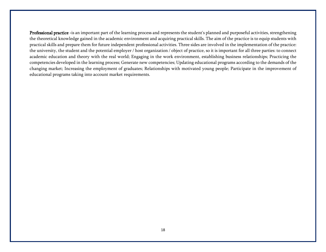Professional practice -is an important part of the learning process and represents the student's planned and purposeful activities, strengthening the theoretical knowledge gained in the academic environment and acquiring practical skills. The aim of the practice is to equip students with practical skills and prepare them for future independent professional activities. Three sides are involved in the implementation of the practice: the university, the student and the potential employer / host organization / object of practice, so it is important for all three parties: to connect academic education and theory with the real world; Engaging in the work environment, establishing business relationships; Practicing the competencies developed in the learning process; Generate new competencies; Updating educational programs according to the demands of the changing market; Increasing the employment of graduates; Relationships with motivated young people; Participate in the improvement of educational programs taking into account market requirements.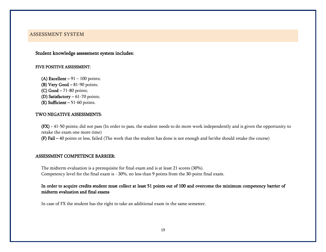#### ASSESSMENT SYSTEM

# Student knowledge assessment system includes:

#### FIVE POSITIVE ASSESSMENT:

(A) Excellent  $-91 - 100$  points; (B) Very Good – 81-90 points;  $(C)$  Good  $-71-80$  points;

(D) Satisfactory – 61-70 points;

(E) Sufficient  $-51-60$  points.

#### TWO NEGATIVE ASSESSMENTS:

(FX) - 41-50 points; did not pass (In order to pass, the student needs to do more work independently and is given the opportunity to retake the exam one more time)

(F) Fail – 40 points or less, failed (The work that the student has done is not enough and he/she should retake the course)

#### ASSESSMENT COMPETENCE BARRIER:

The midterm evaluation is a prerequisite for final exam and is at least 21 scores (30%). Competency level for the final exam is - 30%, no less than 9 points from the 30-point final exam.

#### In order to acquire credits student must collect at least 51 points out of 100 and overcome the minimum competency barrier of midterm evaluation and final exams

In case of FX the student has the right to take an additional exam in the same semester.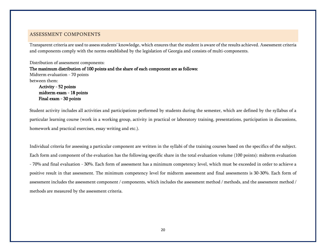#### ASSESSMENT COMPONENTS

Transparent criteria are used to assess students' knowledge, which ensures that the student is aware of the results achieved. Assessment criteria and components comply with the norms established by the legislation of Georgia and consists of multi-components.

Distribution of assessment components: The maximum distribution of 100 points and the share of each component are as follows: Midterm evaluation - 70 points between them: Activity - 52 points midterm exam - 18 points Final exam - 30 points

Student activity includes all activities and participations performed by students during the semester, which are defined by the syllabus of a particular learning course (work in a working group, activity in practical or laboratory training, presentations, participation in discussions, homework and practical exercises, essay writing and etc.).

Individual criteria for assessing a particular component are written in the syllabi of the training courses based on the specifics of the subject. Each form and component of the evaluation has the following specific share in the total evaluation volume (100 points): midterm evaluation - 70% and final evaluation - 30%. Each form of assessment has a minimum competency level, which must be exceeded in order to achieve a positive result in that assessment. The minimum competency level for midterm assessment and final assessments is 30-30%. Each form of assessment includes the assessment component / components, which includes the assessment method / methods, and the assessment method / methods are measured by the assessment criteria.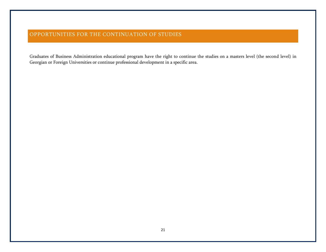# OPPORTUNITIES FOR THE CONTINUATION OF STUDIES

Graduates of Business Administration educational program have the right to continue the studies on a masters level (the second level) in Georgian or Foreign Universities or continue professional development in a specific area.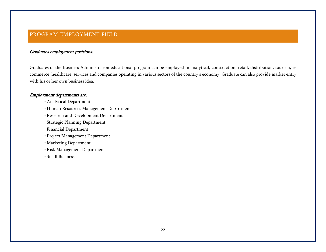# PROGRAM EMPLOYMENT FIELD

#### Graduates employment positions:

Graduates of the Business Administration educational program can be employed in analytical, construction, retail, distribution, tourism, ecommerce, healthcare, services and companies operating in various sectors of the country's economy. Graduate can also provide market entry with his or her own business idea.

#### Employment departments are:

- Analytical Department
- Human Resources Management Department
- Research and Development Department
- Strategic Planning Department
- Financial Department
- Project Management Department
- Marketing Department
- Risk Management Department
- Small Business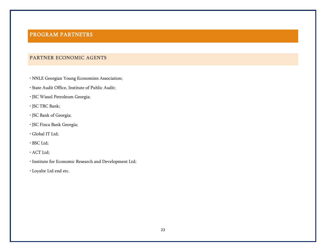# PROGRAM PARTNETRS

# PARTNER ECONOMIC AGENTS

• NNLE Georgian Young Economists Association;

- State Audit Office, Institute of Public Audit;
- JSC Wissol Petroleum Georgia;
- JSC TBC Bank;
- JSC Bank of Georgia;
- JSC Finca Bank Georgia;
- Global IT Ltd;
- BSC Ltd;
- ACT Ltd;
- Institute for Economic Research and Development Ltd;
- Loyalte Ltd end etc.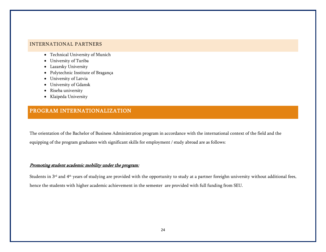#### INTERNATIONAL PARTNERS

- Technical University of Munich
- University of Turiba
- Lazarsky University
- Polytechnic Institute of Bragança
- University of Latvia
- University of Gdansk
- Riseba university
- Klaipėda University

# PROGRAM INTERNATIONALIZATION

The orientation of the Bachelor of Business Administration program in accordance with the international context of the field and the equipping of the program graduates with significant skills for employment / study abroad are as follows:

#### Promoting student academic mobility under the program:

Students in 3<sup>rd</sup> and 4<sup>th</sup> years of studying are provided with the opportunity to study at a partner foreighn university without additional fees, hence the students with higher academic achievement in the semester are provided with full funding from SEU.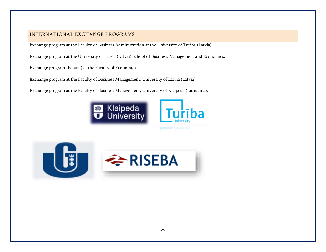# INTERNATIONAL EXCHANGE PROGRAMS

Exchange program at the Faculty of Business Administration at the University of Turiba (Latvia).

Exchange program at the University of Latvia (Latvia) School of Business, Management and Economics.

Exchange program (Poland) at the Faculty of Economics.

Exchange program at the Faculty of Business Management, University of Latvia (Latvia).

Exchange program at the Faculty of Business Management, University of Klaipeda (Lithuania).



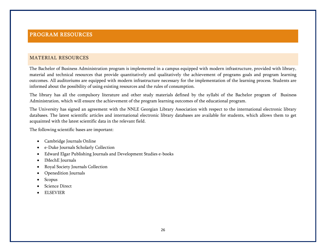# PROGRAM RESOURCES

### MATERIAL RESOURCES

The Bachelor of Business Administration program is implemented in a campus equipped with modern infrastructure, provided with library, material and technical resources that provide quantitatively and qualitatively the achievement of programs goals and program learning outcomes. All auditoriums are equipped with modern infrastructure necessary for the implementation of the learning process. Students are informed about the possibility of using existing resources and the rules of consumption.

The library has all the compulsory literature and other study materials defined by the syllabi of the Bachelor program of Business Administration, which will ensure the achievement of the program learning outcomes of the educational program.

The University has signed an agreement with the NNLE Georgian Library Association with respect to the international electronic library databases. The latest scientific articles and international electronic library databases are available for students, which allows them to get acquainted with the latest scientific data in the relevant field.

The following scientific bases are important:

- Cambridge Journals Online
- e-Duke Journals Scholarly Collection
- Edward Elgar Publishing Journals and Development Studies e-books
- IMechE Journals
- Royal Society Journals Collection
- Openedition Journals
- Scopus
- Science Direct
- **ELSEVIER**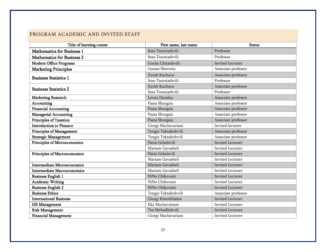# PROGRAM ACADEMIC AND INVITED STAFF

| Title of learning course            | First name, last name | <b>Status</b>           |
|-------------------------------------|-----------------------|-------------------------|
| <b>Mathematics for Business 1</b>   | Soso Tsotniashvili    | Professor               |
| <b>Mathematics for Business 2</b>   | Soso Tsotniashvili    | Professor               |
| <b>Modern Office Programs</b>       | Gocha Chitaishvili    | <b>Invited Lecturer</b> |
| <b>Marketing Principles</b>         | Guram Sherozia        | Associate professor     |
|                                     | Zurab Kuchava         | Associate professor     |
| <b>Business Statistics 1</b>        | Soso Tsotniashvili    | Professor               |
| <b>Business Statistics 2</b>        | Zurab Kuchava         | Associate professor     |
|                                     | Soso Tsotniashvili    | Professor               |
| <b>Marketing Research</b>           | Levan Dundua          | Associate professor     |
| Accounting                          | Paata Shurgaia        | Associate professor     |
| <b>Financial Accounting</b>         | Paata Shurgaia        | Associate professor     |
| <b>Managerial Accounting</b>        | Paata Shurgaia        | Associate professor     |
| Principles of Taxation              | Paata Shurgaia        | Associate professor     |
| <b>Introduction to Finance</b>      | Giorgi Machavariani   | Invited lecturer        |
| <b>Principles of Management</b>     | Tengiz Taktakishvili  | Associate professor     |
| <b>Strategic Management</b>         | Tengiz Taktakishvili  | Associate professor     |
| <b>Principles of Microeconomics</b> | Natia Gelashvili      | <b>Invited Lecturer</b> |
|                                     | Mariam Gavasheli      | <b>Invited Lecturer</b> |
| Principles of Macroeconomics        | Natia Gelashvili      | <b>Invited Lecturer</b> |
|                                     | Mariam Gavasheli      | <b>Invited Lecturer</b> |
| <b>Intermediate Microeconomics</b>  | Mariam Gavasheli      | <b>Invited Lecturer</b> |
| <b>Intermediate Macroeconomics</b>  | Mariam Gavasheli      | <b>Invited Lecturer</b> |
| <b>Business English 1</b>           | NiNo Chikovani        | <b>Invited Lecturer</b> |
| <b>Academic Writing</b>             | NiNo Chikovani        | <b>Invited Lecturer</b> |
| <b>Business English 2</b>           | NiNo Chikovani        | <b>Invited Lecturer</b> |
| <b>Business Ethics</b>              | Tengiz Taktakishvili  | Associate professor     |
| <b>International Business</b>       | Giorgi Kharshiladze   | <b>Invited Lecturer</b> |
| <b>HR Management</b>                | Eka Machavariani      | <b>Invited Lecturer</b> |
| <b>Risk Management</b>              | Tea Mchedlishvili     | <b>Invited Lecturer</b> |
| <b>Financial Management</b>         | Giorgi Machavariani   | <b>Invited Lecturer</b> |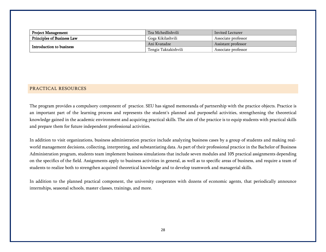| <b>Project Management</b>  | Tea Mchedlishvili    | Invited Lecturer    |
|----------------------------|----------------------|---------------------|
| Principles of Business Law | Goga Kikilashvili    | Associate professor |
| Introduction to business   | Ani Kvatadze         | Assistant professor |
|                            | Tengiz Taktakishvili | Associate professor |

#### PRACTICAL RESOURCES

The program provides a compulsory component of practice. SEU has signed memoranda of partnership with the practice objects. Practice is an important part of the learning process and represents the student's planned and purposeful activities, strengthening the theoretical knowledge gained in the academic environment and acquiring practical skills. The aim of the practice is to equip students with practical skills and prepare them for future independent professional activities.

In addition to visit organizations, business administration practice include analyzing business cases by a group of students and making realworld management decisions, collecting, interpreting, and substantiating data. As part of their professional practice in the Bachelor of Business Administration program, students team implement business simulations that include seven modules and 105 practical assignments depending on the specifics of the field. Assignments apply to business activities in general, as well as to specific areas of business, and require a team of students to realize both to strengthen acquired theoretical knowledge and to develop teamwork and managerial skills.

In addition to the planned practical component, the university cooperates with dozens of economic agents, that periodically announce internships, seasonal schools, master classes, trainings, and more.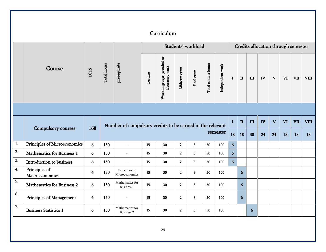# Curriculum

|    |                                     |      |                                                                                                                                            |                                      |         |                                                    |                | Students' workload      |                     |                  |                |          |     |    |    |    | Credits allocation through semester |             |
|----|-------------------------------------|------|--------------------------------------------------------------------------------------------------------------------------------------------|--------------------------------------|---------|----------------------------------------------------|----------------|-------------------------|---------------------|------------------|----------------|----------|-----|----|----|----|-------------------------------------|-------------|
|    | Course                              | ECTS | Total hours                                                                                                                                | prerequisite                         | Lecture | practical or<br>laboratory work<br>Work in groups, | Midterm exam   | Final exam              | Total contact hours | Independent work | $\bf I$        | $\rm II$ | III | IV | V  | VI | <b>VII</b>                          | <b>VIII</b> |
|    |                                     |      |                                                                                                                                            |                                      |         |                                                    |                |                         |                     |                  |                |          |     |    |    |    |                                     |             |
|    |                                     | 168  | IV<br>V<br><b>VII</b><br>I<br>П<br>$\mathbf{III}$<br><b>VI</b><br><b>VIII</b><br>Number of compulsory credits to be earned in the relevant |                                      |         |                                                    |                |                         |                     |                  |                |          |     |    |    |    |                                     |             |
|    | Compulsory courses                  |      |                                                                                                                                            |                                      |         |                                                    |                |                         |                     | semester         | 18             | 18       | 30  | 24 | 24 | 18 | 18                                  | 18          |
| 1. | <b>Principles of Microeconomics</b> | 6    | 150                                                                                                                                        | $\sim$                               | 15      | 30                                                 | $\mathbf{2}$   | $\overline{\mathbf{3}}$ | 50                  | 100              | $6\phantom{1}$ |          |     |    |    |    |                                     |             |
| 2. | <b>Mathematics for Business 1</b>   | 6    | 150                                                                                                                                        |                                      | 15      | 30                                                 | $\overline{2}$ | 3 <sup>1</sup>          | 50                  | 100              | 6              |          |     |    |    |    |                                     |             |
| 3. | <b>Introduction to business</b>     | 6    | 150                                                                                                                                        | $\sim$                               | 15      | 30                                                 | $\overline{2}$ | $\mathbf{3}$            | 50                  | 100              | 6              |          |     |    |    |    |                                     |             |
| 4. | Principles of<br>Macroeconomics     | 6    | 150                                                                                                                                        | Principles of<br>Microeconomics      | 15      | 30                                                 | $\overline{2}$ | 3 <sup>1</sup>          | 50                  | 100              |                | 6        |     |    |    |    |                                     |             |
| 5. | <b>Mathematics for Business 2</b>   | 6    | 150                                                                                                                                        | Mathematics for<br>Business 1        | 15      | 30                                                 | $\overline{2}$ | 3                       | 50                  | 100              |                | 6        |     |    |    |    |                                     |             |
| 6. | <b>Principles of Management</b>     | 6    | 150                                                                                                                                        | $\sim$                               | 15      | 30                                                 | $\overline{2}$ | 3                       | 50                  | 100              |                | 6        |     |    |    |    |                                     |             |
| 7. | <b>Business Statistics 1</b>        | 6    | 150                                                                                                                                        | Mathematics for<br><b>Business 2</b> | 15      | 30                                                 | $\overline{2}$ | 3                       | 50                  | 100              |                |          | 6   |    |    |    |                                     |             |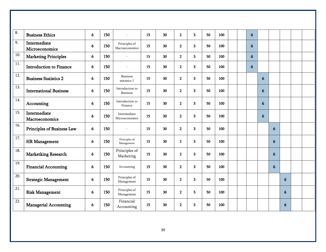| 8.  | <b>Business Ethics</b>         | 6 | 150 |                                    | 15 | 30 | $\mathbf{2}$   | 3            | 50 | 100 |  | 6 |   |   |   |  |
|-----|--------------------------------|---|-----|------------------------------------|----|----|----------------|--------------|----|-----|--|---|---|---|---|--|
| 9.  | Intermediate<br>Microeconomics | 6 | 150 | Principles of<br>Macroeconomics    | 15 | 30 | $\mathbf{2}$   | 3            | 50 | 100 |  | 6 |   |   |   |  |
| 10. | <b>Marketing Principles</b>    | 6 | 150 | $\overline{a}$                     | 15 | 30 | $\overline{2}$ | 3            | 50 | 100 |  | 6 |   |   |   |  |
| 11. | <b>Introduction to Finance</b> | 6 | 150 |                                    | 15 | 30 | $\mathbf{2}$   | $\mathbf{3}$ | 50 | 100 |  | 6 |   |   |   |  |
| 12. | <b>Business Statistics 2</b>   | 6 | 150 | <b>Business</b><br>statistics 1    | 15 | 30 | $\mathbf{2}$   | 3            | 50 | 100 |  |   | 6 |   |   |  |
| 13. | <b>International Business</b>  | 6 | 150 | Introduction to<br><b>Business</b> | 15 | 30 | $\mathbf{2}$   | 3            | 50 | 100 |  |   | 6 |   |   |  |
| 14. | Accounting                     | 6 | 150 | Introduction to<br>Finance         | 15 | 30 | $\mathbf 2$    | 3            | 50 | 100 |  |   | 6 |   |   |  |
| 15. | Intermediate<br>Macroeconomics | 6 | 150 | Intermediate<br>Microeconomics     | 15 | 30 | $\mathbf{2}$   | 3            | 50 | 100 |  |   | 6 |   |   |  |
| 16. | Principles of Business Law     | 6 | 150 |                                    | 15 | 30 | $\mathbf{2}$   | 3            | 50 | 100 |  |   |   | 6 |   |  |
| 17. | <b>HR</b> Management           | 6 | 150 | Principles of<br>Management        | 15 | 30 | $\mathbf{2}$   | $\mathbf{3}$ | 50 | 100 |  |   |   | 6 |   |  |
| 18. | <b>Marketking Research</b>     | 6 | 150 | Principles of<br>Marketing         | 15 | 30 | $\mathbf{2}$   | 3            | 50 | 100 |  |   |   | 6 |   |  |
| 19. | <b>Financial Accounting</b>    | 6 | 150 | Accounting                         | 15 | 30 | $\mathbf 2$    | 3            | 50 | 100 |  |   |   | 6 |   |  |
| 20. | <b>Strategic Management</b>    | 6 | 150 | Principles of<br>Management        | 15 | 30 | $\mathbf{2}$   | 3            | 50 | 100 |  |   |   |   | 6 |  |
| 21. | <b>Risk Management</b>         | 6 | 150 | Principles of<br>Management        | 15 | 30 | $\mathbf{2}$   | 3            | 50 | 100 |  |   |   |   | 6 |  |
| 22. | <b>Managerial Accounting</b>   | 6 | 150 | Financial<br>Accounting            | 15 | 30 | $\mathbf 2$    | 3            | 50 | 100 |  |   |   |   | 6 |  |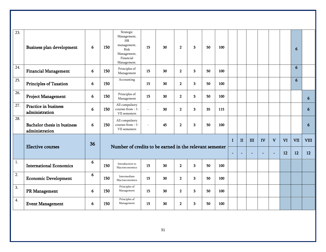| $\overline{23}$ . | Business plan development                     | 6  | 150 | Strategic<br>Management,<br>HR<br>management,<br>Risk<br>Management,<br>Financial<br>Management. | 15             | 30 | $\overline{2}$ | 3                       | 50 | 100 |                |              |     |    |                          |           | 6          |             |
|-------------------|-----------------------------------------------|----|-----|--------------------------------------------------------------------------------------------------|----------------|----|----------------|-------------------------|----|-----|----------------|--------------|-----|----|--------------------------|-----------|------------|-------------|
| 24.               | <b>Financial Management</b>                   | 6  | 150 | Principles of<br>Management                                                                      | 15             | 30 | $\overline{2}$ | $\mathbf{3}$            | 50 | 100 |                |              |     |    |                          |           | 6          |             |
| 25.               | <b>Principles of Taxation</b>                 | 6  | 150 | Accounting                                                                                       | 15             | 30 | $\overline{2}$ | $\mathbf{3}$            | 50 | 100 |                |              |     |    |                          |           | 6          |             |
| 26.               | <b>Project Management</b>                     | 6  | 150 | Principles of<br>Management                                                                      | 15             | 30 | $\overline{2}$ | $\mathbf{3}$            | 50 | 100 |                |              |     |    |                          |           |            | 6           |
| 27.               | Practice in business<br>administration        | 6  | 150 | All compulsory<br>courses from $-I$ -<br>VII semesters                                           | $\overline{a}$ | 30 | $\overline{2}$ | 3                       | 35 | 115 |                |              |     |    |                          |           |            | 6           |
| 28.               | Bachelor thesis in business<br>administration | 6  | 150 | All compulsory<br>courses from $-$ I-<br>VII semesters                                           | $\sim$         | 45 | $\overline{2}$ | 3                       | 50 | 100 |                |              |     |    |                          |           |            | 6           |
|                   |                                               | 36 |     |                                                                                                  |                |    |                |                         |    |     | $\mathbf I$    | $\mathbf{I}$ | III | IV | $\mathbf{V}$             | <b>VI</b> | <b>VII</b> | <b>VIII</b> |
|                   | <b>Elective courses</b>                       |    |     | Number of credits to be earned in the relevant semester                                          |                |    |                |                         |    |     | $\blacksquare$ |              |     |    | $\overline{\phantom{0}}$ | 12        | 12         | 12          |
| 1.                | <b>International Economics</b>                | 6  | 150 | Introduction to<br>Macroeconomics                                                                | 15             | 30 | $\overline{2}$ | $\overline{\mathbf{3}}$ | 50 | 100 |                |              |     |    |                          |           |            |             |
| 2.                | <b>Economic Development</b>                   | 6  | 150 | Intermediate<br>Macroeconomics                                                                   | 15             | 30 | $\mathbf{2}$   | 3                       | 50 | 100 |                |              |     |    |                          |           |            |             |
| 3.                | PR Management                                 | 6  | 150 | Principles of<br>Management                                                                      | 15             | 30 | $\overline{2}$ | 3                       | 50 | 100 |                |              |     |    |                          |           |            |             |
| 4.                | <b>Event Management</b>                       | 6  | 150 | Principles of<br>Management                                                                      | 15             | 30 | $\overline{2}$ | 3                       | 50 | 100 |                |              |     |    |                          |           |            |             |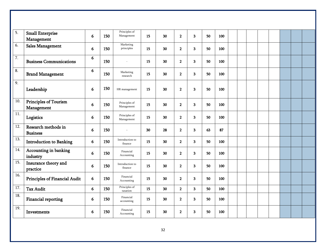| 5.               | <b>Small Enterprise</b><br>Management  | 6 | 150 | Principles of<br>Management | 15 | 30 | $\mathbf{2}$            | 3            | 50 | 100 |  |  |  |  |
|------------------|----------------------------------------|---|-----|-----------------------------|----|----|-------------------------|--------------|----|-----|--|--|--|--|
| 6.               | <b>Sales Management</b>                | 6 | 150 | Marketing<br>principles     | 15 | 30 | $\mathbf 2$             | 3            | 50 | 100 |  |  |  |  |
| $\overline{7}$ . | <b>Business Communications</b>         | 6 | 150 |                             | 15 | 30 | $\mathbf{2}$            | 3            | 50 | 100 |  |  |  |  |
| 8.               | <b>Brand Management</b>                | 6 | 150 | Marketing<br>research       | 15 | 30 | $\mathbf 2$             | $\mathbf{3}$ | 50 | 100 |  |  |  |  |
| 9.               | Leadership                             | 6 | 150 | HR management               | 15 | 30 | $\mathbf 2$             | 3            | 50 | 100 |  |  |  |  |
| 10.              | Principles of Tourism<br>Management    | 6 | 150 | Principles of<br>Management | 15 | 30 | $\overline{2}$          | 3            | 50 | 100 |  |  |  |  |
| 11.              | Logistics                              | 6 | 150 | Principles of<br>Management | 15 | 30 | $\mathbf 2$             | 3            | 50 | 100 |  |  |  |  |
| 12.              | Research methods in<br><b>Business</b> | 6 | 150 |                             | 30 | 28 | $\overline{\mathbf{2}}$ | 3            | 63 | 87  |  |  |  |  |
| 13.              | <b>Introduction to Banking</b>         | 6 | 150 | Introduction to<br>finance  | 15 | 30 | $\overline{\mathbf{2}}$ | 3            | 50 | 100 |  |  |  |  |
| 14.              | Accounting in banking<br>industry      | 6 | 150 | Financial<br>Accounting     | 15 | 30 | $\mathbf 2$             | 3            | 50 | 100 |  |  |  |  |
| 15.              | Insurance theory and<br>practice       | 6 | 150 | Introduction to<br>finance  | 15 | 30 | $\mathbf{2}$            | 3            | 50 | 100 |  |  |  |  |
| 16.              | Principles of Financial Audit          | 6 | 150 | Financial<br>Accounting     | 15 | 30 | $\mathbf 2$             | 3            | 50 | 100 |  |  |  |  |
| 17.              | <b>Tax Audit</b>                       | 6 | 150 | Principles of<br>taxation   | 15 | 30 | $\overline{2}$          | 3            | 50 | 100 |  |  |  |  |
| 18.              | Financial reporting                    | 6 | 150 | Financial<br>accounting     | 15 | 30 | $\mathbf 2$             | 3            | 50 | 100 |  |  |  |  |
| 19.              | Investments                            | 6 | 150 | Financial<br>Accounting     | 15 | 30 | $\mathbf 2$             | 3            | 50 | 100 |  |  |  |  |